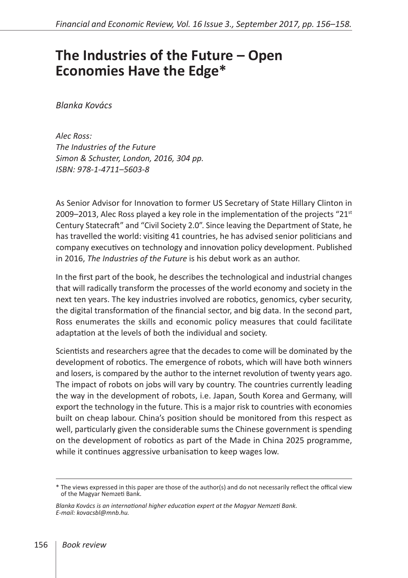## **The Industries of the Future – Open Economies Have the Edge\***

*Blanka Kovács*

*Alec Ross: The Industries of the Future Simon & Schuster, London, 2016, 304 pp. ISBN: 978-1-4711–5603-8*

As Senior Advisor for Innovation to former US Secretary of State Hillary Clinton in 2009–2013, Alec Ross played a key role in the implementation of the projects " $21<sup>st</sup>$ Century Statecraft" and "Civil Society 2.0". Since leaving the Department of State, he has travelled the world: visiting 41 countries, he has advised senior politicians and company executives on technology and innovation policy development. Published in 2016, *The Industries of the Future* is his debut work as an author.

In the first part of the book, he describes the technological and industrial changes that will radically transform the processes of the world economy and society in the next ten years. The key industries involved are robotics, genomics, cyber security, the digital transformation of the financial sector, and big data. In the second part, Ross enumerates the skills and economic policy measures that could facilitate adaptation at the levels of both the individual and society.

Scientists and researchers agree that the decades to come will be dominated by the development of robotics. The emergence of robots, which will have both winners and losers, is compared by the author to the internet revolution of twenty years ago. The impact of robots on jobs will vary by country. The countries currently leading the way in the development of robots, i.e. Japan, South Korea and Germany, will export the technology in the future. This is a major risk to countries with economies built on cheap labour. China's position should be monitored from this respect as well, particularly given the considerable sums the Chinese government is spending on the development of robotics as part of the Made in China 2025 programme, while it continues aggressive urbanisation to keep wages low.

<sup>\*</sup> The views expressed in this paper are those of the author(s) and do not necessarily reflect the offical view of the Magyar Nemzeti Bank.

*Blanka Kovács is an international higher education expert at the Magyar Nemzeti Bank. E-mail: kovacsbl@mnb.hu.*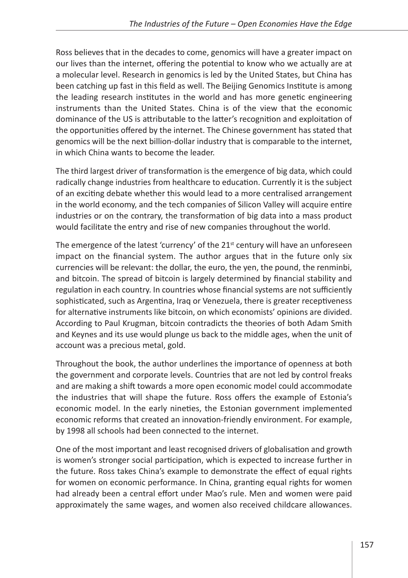Ross believes that in the decades to come, genomics will have a greater impact on our lives than the internet, offering the potential to know who we actually are at a molecular level. Research in genomics is led by the United States, but China has been catching up fast in this field as well. The Beijing Genomics Institute is among the leading research institutes in the world and has more genetic engineering instruments than the United States. China is of the view that the economic dominance of the US is attributable to the latter's recognition and exploitation of the opportunities offered by the internet. The Chinese government has stated that genomics will be the next billion-dollar industry that is comparable to the internet, in which China wants to become the leader.

The third largest driver of transformation is the emergence of big data, which could radically change industries from healthcare to education. Currently it is the subject of an exciting debate whether this would lead to a more centralised arrangement in the world economy, and the tech companies of Silicon Valley will acquire entire industries or on the contrary, the transformation of big data into a mass product would facilitate the entry and rise of new companies throughout the world.

The emergence of the latest 'currency' of the  $21<sup>st</sup>$  century will have an unforeseen impact on the financial system. The author argues that in the future only six currencies will be relevant: the dollar, the euro, the yen, the pound, the renminbi, and bitcoin. The spread of bitcoin is largely determined by financial stability and regulation in each country. In countries whose financial systems are not sufficiently sophisticated, such as Argentina, Iraq or Venezuela, there is greater receptiveness for alternative instruments like bitcoin, on which economists' opinions are divided. According to Paul Krugman, bitcoin contradicts the theories of both Adam Smith and Keynes and its use would plunge us back to the middle ages, when the unit of account was a precious metal, gold.

Throughout the book, the author underlines the importance of openness at both the government and corporate levels. Countries that are not led by control freaks and are making a shift towards a more open economic model could accommodate the industries that will shape the future. Ross offers the example of Estonia's economic model. In the early nineties, the Estonian government implemented economic reforms that created an innovation-friendly environment. For example, by 1998 all schools had been connected to the internet.

One of the most important and least recognised drivers of globalisation and growth is women's stronger social participation, which is expected to increase further in the future. Ross takes China's example to demonstrate the effect of equal rights for women on economic performance. In China, granting equal rights for women had already been a central effort under Mao's rule. Men and women were paid approximately the same wages, and women also received childcare allowances.